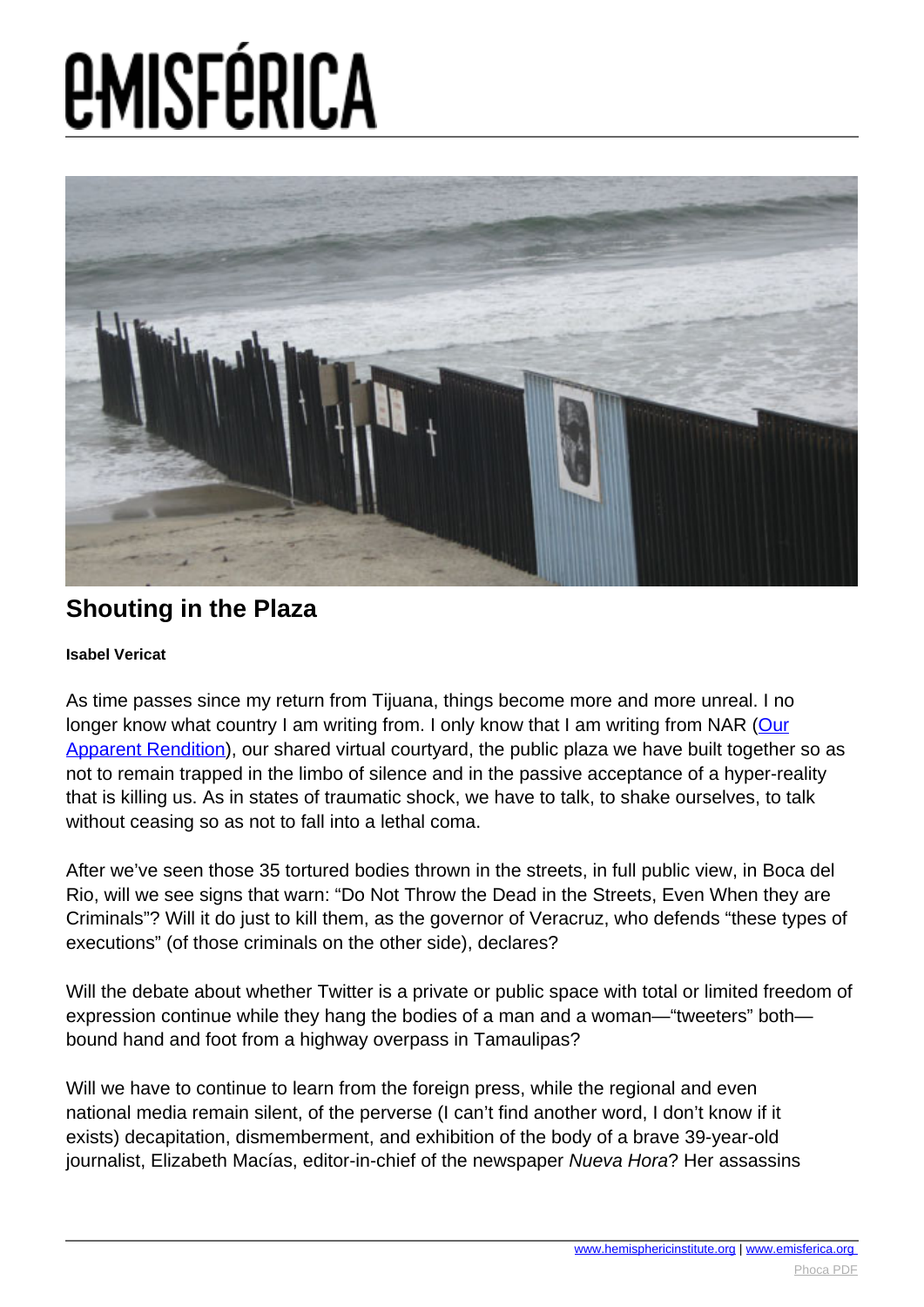

### **Shouting in the Plaza**

#### **Isabel Vericat**

As time passes since my return from Tijuana, things become more and more unreal. I no longer know what country I am writing from. I only know that I am writing from NAR ([Our](http://nuestraaparenterendicion.com/index.php) [Apparent Rendition](http://nuestraaparenterendicion.com/index.php)), our shared virtual courtyard, the public plaza we have built together so as not to remain trapped in the limbo of silence and in the passive acceptance of a hyper-reality that is killing us. As in states of traumatic shock, we have to talk, to shake ourselves, to talk without ceasing so as not to fall into a lethal coma.

After we've seen those 35 tortured bodies thrown in the streets, in full public view, in Boca del Rio, will we see signs that warn: "Do Not Throw the Dead in the Streets, Even When they are Criminals"? Will it do just to kill them, as the governor of Veracruz, who defends "these types of executions" (of those criminals on the other side), declares?

Will the debate about whether Twitter is a private or public space with total or limited freedom of expression continue while they hang the bodies of a man and a woman—"tweeters" both bound hand and foot from a highway overpass in Tamaulipas?

Will we have to continue to learn from the foreign press, while the regional and even national media remain silent, of the perverse (I can't find another word, I don't know if it exists) decapitation, dismemberment, and exhibition of the body of a brave 39-year-old journalist, Elizabeth Macías, editor-in-chief of the newspaper Nueva Hora? Her assassins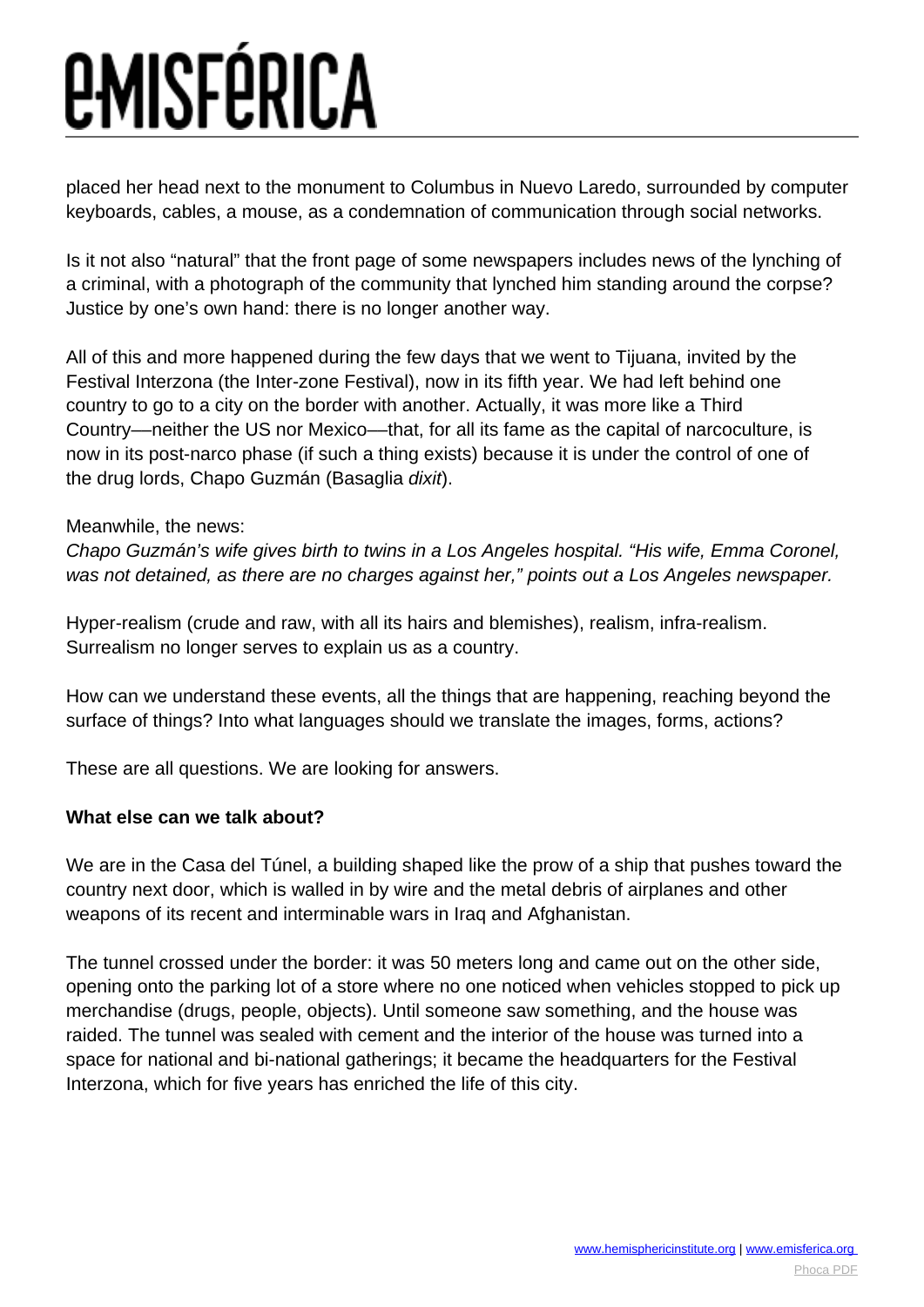placed her head next to the monument to Columbus in Nuevo Laredo, surrounded by computer keyboards, cables, a mouse, as a condemnation of communication through social networks.

Is it not also "natural" that the front page of some newspapers includes news of the lynching of a criminal, with a photograph of the community that lynched him standing around the corpse? Justice by one's own hand: there is no longer another way.

All of this and more happened during the few days that we went to Tijuana, invited by the Festival Interzona (the Inter-zone Festival), now in its fifth year. We had left behind one country to go to a city on the border with another. Actually, it was more like a Third Country––neither the US nor Mexico––that, for all its fame as the capital of narcoculture, is now in its post-narco phase (if such a thing exists) because it is under the control of one of the drug lords, Chapo Guzmán (Basaglia dixit).

#### Meanwhile, the news:

Chapo Guzmán's wife gives birth to twins in a Los Angeles hospital. "His wife, Emma Coronel, was not detained, as there are no charges against her," points out a Los Angeles newspaper.

Hyper-realism (crude and raw, with all its hairs and blemishes), realism, infra-realism. Surrealism no longer serves to explain us as a country.

How can we understand these events, all the things that are happening, reaching beyond the surface of things? Into what languages should we translate the images, forms, actions?

These are all questions. We are looking for answers.

#### **What else can we talk about?**

We are in the Casa del Túnel, a building shaped like the prow of a ship that pushes toward the country next door, which is walled in by wire and the metal debris of airplanes and other weapons of its recent and interminable wars in Iraq and Afghanistan.

The tunnel crossed under the border: it was 50 meters long and came out on the other side, opening onto the parking lot of a store where no one noticed when vehicles stopped to pick up merchandise (drugs, people, objects). Until someone saw something, and the house was raided. The tunnel was sealed with cement and the interior of the house was turned into a space for national and bi-national gatherings; it became the headquarters for the Festival Interzona, which for five years has enriched the life of this city.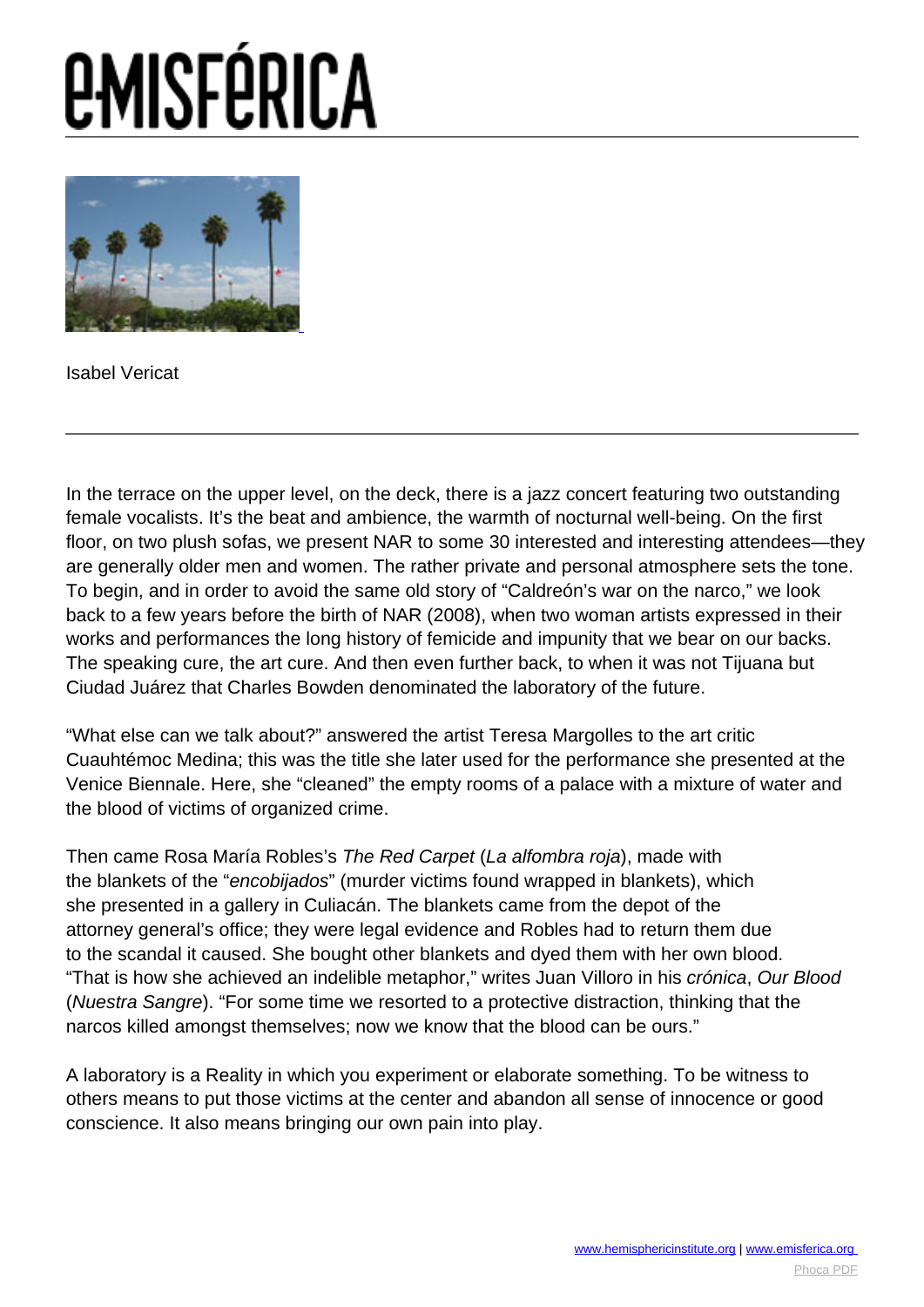# *<u>EMISFÉRICA</u>*



Isabel Vericat

In the terrace on the upper level, on the deck, there is a jazz concert featuring two outstanding female vocalists. It's the beat and ambience, the warmth of nocturnal well-being. On the first floor, on two plush sofas, we present NAR to some 30 interested and interesting attendees—they are generally older men and women. The rather private and personal atmosphere sets the tone. To begin, and in order to avoid the same old story of "Caldreón's war on the narco," we look back to a few years before the birth of NAR (2008), when two woman artists expressed in their works and performances the long history of femicide and impunity that we bear on our backs. The speaking cure, the art cure. And then even further back, to when it was not Tijuana but Ciudad Juárez that Charles Bowden denominated the laboratory of the future.

"What else can we talk about?" answered the artist Teresa Margolles to the art critic Cuauhtémoc Medina; this was the title she later used for the performance she presented at the Venice Biennale. Here, she "cleaned" the empty rooms of a palace with a mixture of water and the blood of victims of organized crime.

Then came Rosa María Robles's The Red Carpet (La alfombra roja), made with the blankets of the "encobijados" (murder victims found wrapped in blankets), which she presented in a gallery in Culiacán. The blankets came from the depot of the attorney general's office; they were legal evidence and Robles had to return them due to the scandal it caused. She bought other blankets and dyed them with her own blood. "That is how she achieved an indelible metaphor," writes Juan Villoro in his crónica, Our Blood (Nuestra Sangre). "For some time we resorted to a protective distraction, thinking that the narcos killed amongst themselves; now we know that the blood can be ours."

A laboratory is a Reality in which you experiment or elaborate something. To be witness to others means to put those victims at the center and abandon all sense of innocence or good conscience. It also means bringing our own pain into play.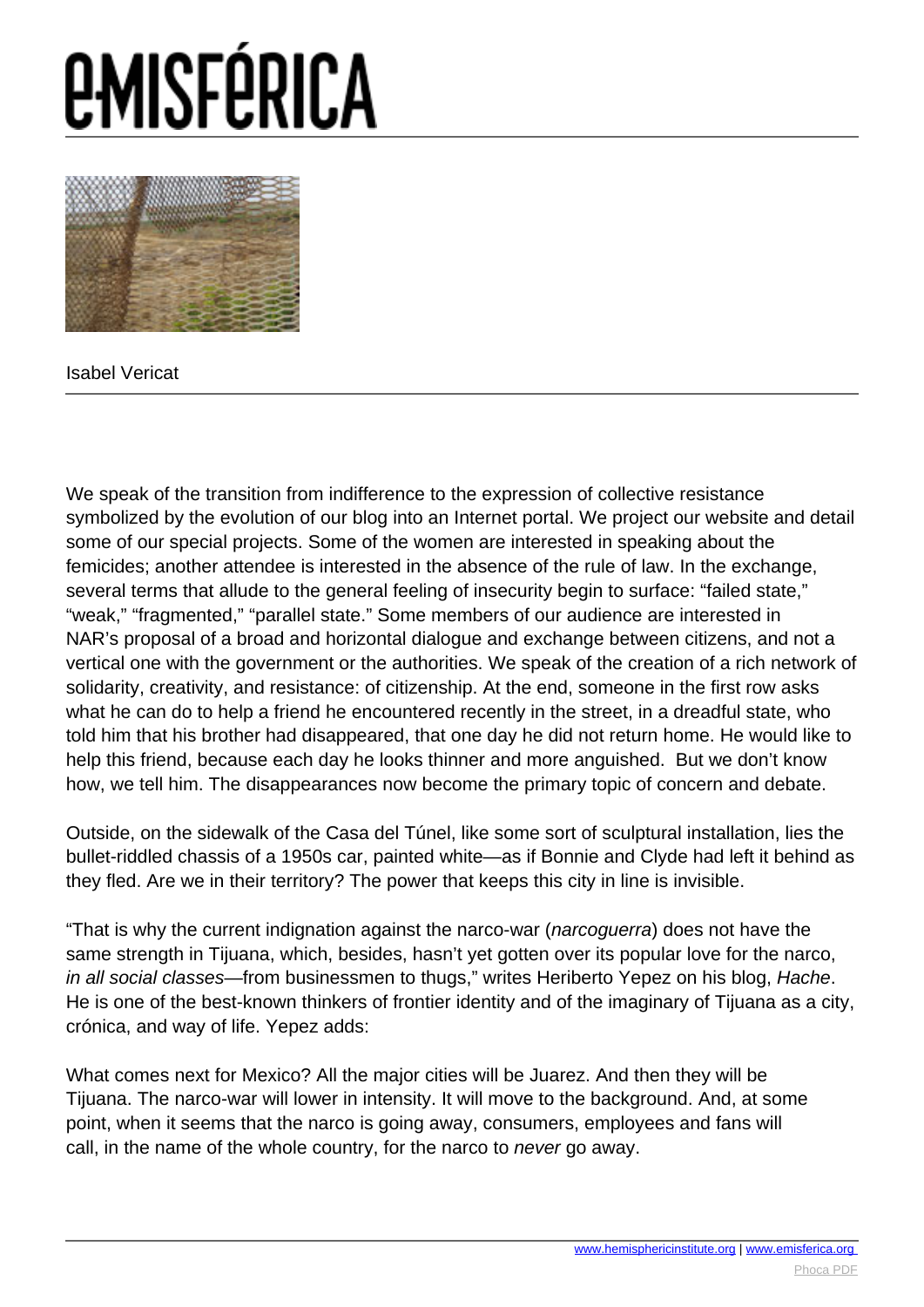

Isabel Vericat

We speak of the transition from indifference to the expression of collective resistance symbolized by the evolution of our blog into an Internet portal. We project our website and detail some of our special projects. Some of the women are interested in speaking about the femicides; another attendee is interested in the absence of the rule of law. In the exchange, several terms that allude to the general feeling of insecurity begin to surface: "failed state," "weak," "fragmented," "parallel state." Some members of our audience are interested in NAR's proposal of a broad and horizontal dialogue and exchange between citizens, and not a vertical one with the government or the authorities. We speak of the creation of a rich network of solidarity, creativity, and resistance: of citizenship. At the end, someone in the first row asks what he can do to help a friend he encountered recently in the street, in a dreadful state, who told him that his brother had disappeared, that one day he did not return home. He would like to help this friend, because each day he looks thinner and more anguished. But we don't know how, we tell him. The disappearances now become the primary topic of concern and debate.

Outside, on the sidewalk of the Casa del Túnel, like some sort of sculptural installation, lies the bullet-riddled chassis of a 1950s car, painted white—as if Bonnie and Clyde had left it behind as they fled. Are we in their territory? The power that keeps this city in line is invisible.

"That is why the current indignation against the narco-war (narcoguerra) does not have the same strength in Tijuana, which, besides, hasn't yet gotten over its popular love for the narco, in all social classes—from businessmen to thugs," writes Heriberto Yepez on his blog, Hache. He is one of the best-known thinkers of frontier identity and of the imaginary of Tijuana as a city, crónica, and way of life. Yepez adds:

What comes next for Mexico? All the major cities will be Juarez. And then they will be Tijuana. The narco-war will lower in intensity. It will move to the background. And, at some point, when it seems that the narco is going away, consumers, employees and fans will call, in the name of the whole country, for the narco to never go away.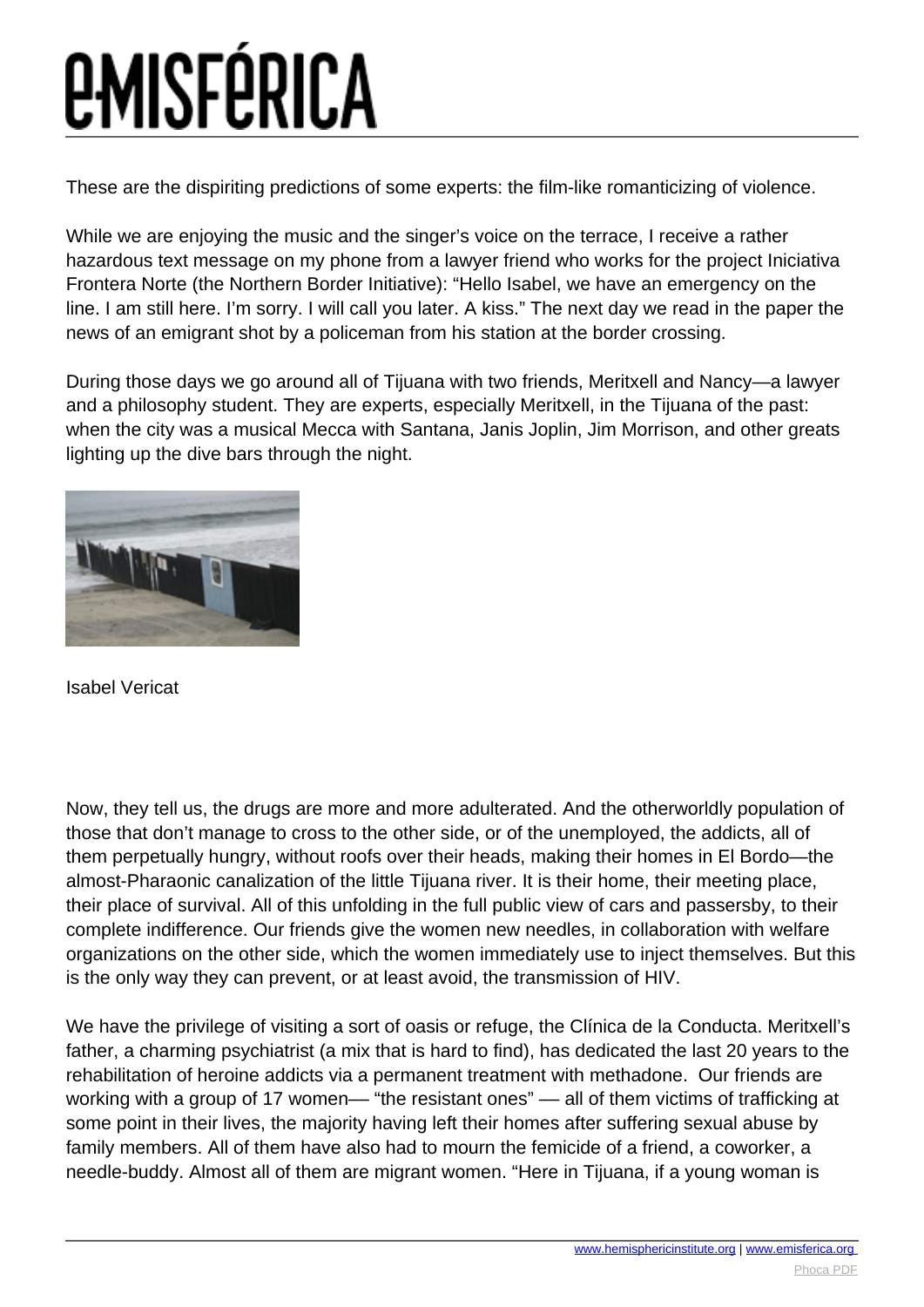### *<u>EMISFÉRICA</u>*

These are the dispiriting predictions of some experts: the film-like romanticizing of violence.

While we are enjoying the music and the singer's voice on the terrace, I receive a rather hazardous text message on my phone from a lawyer friend who works for the project Iniciativa Frontera Norte (the Northern Border Initiative): "Hello Isabel, we have an emergency on the line. I am still here. I'm sorry. I will call you later. A kiss." The next day we read in the paper the news of an emigrant shot by a policeman from his station at the border crossing.

During those days we go around all of Tijuana with two friends, Meritxell and Nancy—a lawyer and a philosophy student. They are experts, especially Meritxell, in the Tijuana of the past: when the city was a musical Mecca with Santana, Janis Joplin, Jim Morrison, and other greats lighting up the dive bars through the night.



Isabel Vericat

Now, they tell us, the drugs are more and more adulterated. And the otherworldly population of those that don't manage to cross to the other side, or of the unemployed, the addicts, all of them perpetually hungry, without roofs over their heads, making their homes in El Bordo—the almost-Pharaonic canalization of the little Tijuana river. It is their home, their meeting place, their place of survival. All of this unfolding in the full public view of cars and passersby, to their complete indifference. Our friends give the women new needles, in collaboration with welfare organizations on the other side, which the women immediately use to inject themselves. But this is the only way they can prevent, or at least avoid, the transmission of HIV.

We have the privilege of visiting a sort of oasis or refuge, the Clínica de la Conducta. Meritxell's father, a charming psychiatrist (a mix that is hard to find), has dedicated the last 20 years to the rehabilitation of heroine addicts via a permanent treatment with methadone. Our friends are working with a group of 17 women— "the resistant ones" — all of them victims of trafficking at some point in their lives, the majority having left their homes after suffering sexual abuse by family members. All of them have also had to mourn the femicide of a friend, a coworker, a needle-buddy. Almost all of them are migrant women. "Here in Tijuana, if a young woman is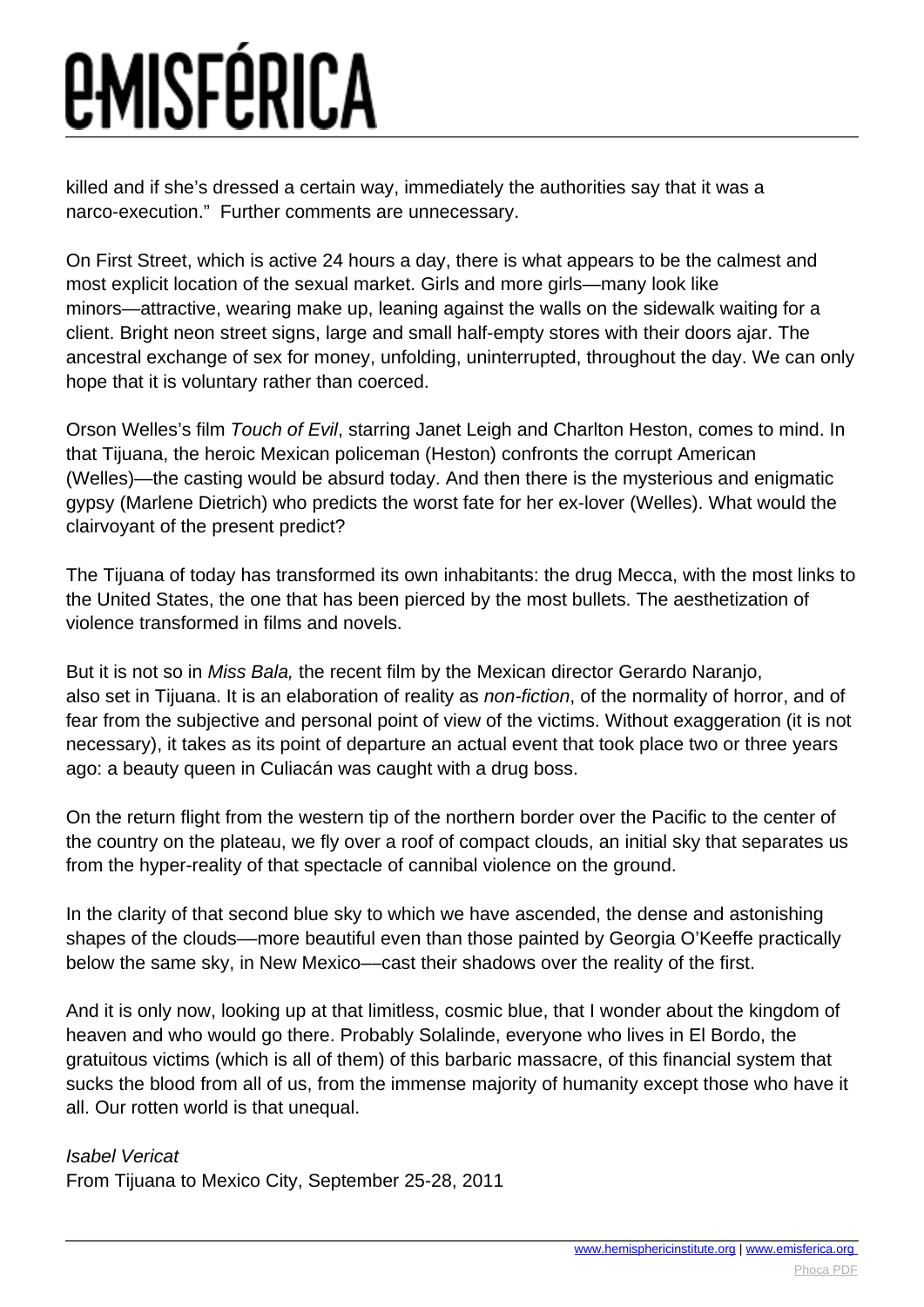killed and if she's dressed a certain way, immediately the authorities say that it was a narco-execution." Further comments are unnecessary.

On First Street, which is active 24 hours a day, there is what appears to be the calmest and most explicit location of the sexual market. Girls and more girls—many look like minors—attractive, wearing make up, leaning against the walls on the sidewalk waiting for a client. Bright neon street signs, large and small half-empty stores with their doors ajar. The ancestral exchange of sex for money, unfolding, uninterrupted, throughout the day. We can only hope that it is voluntary rather than coerced.

Orson Welles's film Touch of Evil, starring Janet Leigh and Charlton Heston, comes to mind. In that Tijuana, the heroic Mexican policeman (Heston) confronts the corrupt American (Welles)—the casting would be absurd today. And then there is the mysterious and enigmatic gypsy (Marlene Dietrich) who predicts the worst fate for her ex-lover (Welles). What would the clairvoyant of the present predict?

The Tijuana of today has transformed its own inhabitants: the drug Mecca, with the most links to the United States, the one that has been pierced by the most bullets. The aesthetization of violence transformed in films and novels.

But it is not so in Miss Bala, the recent film by the Mexican director Gerardo Naranjo, also set in Tijuana. It is an elaboration of reality as non-fiction, of the normality of horror, and of fear from the subjective and personal point of view of the victims. Without exaggeration (it is not necessary), it takes as its point of departure an actual event that took place two or three years ago: a beauty queen in Culiacán was caught with a drug boss.

On the return flight from the western tip of the northern border over the Pacific to the center of the country on the plateau, we fly over a roof of compact clouds, an initial sky that separates us from the hyper-reality of that spectacle of cannibal violence on the ground.

In the clarity of that second blue sky to which we have ascended, the dense and astonishing shapes of the clouds––more beautiful even than those painted by Georgia O'Keeffe practically below the same sky, in New Mexico––cast their shadows over the reality of the first.

And it is only now, looking up at that limitless, cosmic blue, that I wonder about the kingdom of heaven and who would go there. Probably Solalinde, everyone who lives in El Bordo, the gratuitous victims (which is all of them) of this barbaric massacre, of this financial system that sucks the blood from all of us, from the immense majority of humanity except those who have it all. Our rotten world is that unequal.

#### Isabel Vericat

From Tijuana to Mexico City, September 25-28, 2011